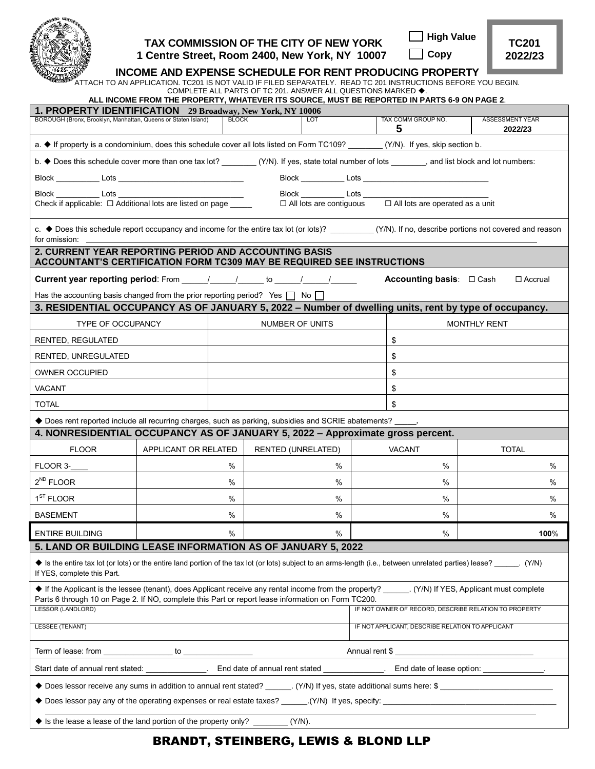

## **TAX COMMISSION OF THE CITY OF NEW YORK 1 Centre Street, Room 2400, New York, NY 10007**

| ] High Value |  |
|--------------|--|
|--------------|--|

 **Copy**

**TC201 2022/23**

ATTACH TO AN APPLICATION. TC201 IS NOT VALID IF FILED SEPARATELY. READ TC 201 INSTRUCTIONS BEFORE YOU BEGIN.

| COMPLETE ALL PARTS OF TC 201. ANSWER ALL QUESTIONS MARKED ♦.<br>ALL INCOME FROM THE PROPERTY, WHATEVER ITS SOURCE, MUST BE REPORTED IN PARTS 6-9 ON PAGE 2.                                                                                               |                      |                           |                                                       |  |                                                                                                                                                                                                                                      |                                                                                                                                                       |  |
|-----------------------------------------------------------------------------------------------------------------------------------------------------------------------------------------------------------------------------------------------------------|----------------------|---------------------------|-------------------------------------------------------|--|--------------------------------------------------------------------------------------------------------------------------------------------------------------------------------------------------------------------------------------|-------------------------------------------------------------------------------------------------------------------------------------------------------|--|
| 1. PROPERTY IDENTIFICATION 29 Broadway, New York, NY 10006                                                                                                                                                                                                |                      |                           |                                                       |  |                                                                                                                                                                                                                                      |                                                                                                                                                       |  |
| BOROUGH (Bronx, Brooklyn, Manhattan, Queens or Staten Island)                                                                                                                                                                                             |                      | <b>BLOCK</b>              | <b>LOT</b>                                            |  | TAX COMM GROUP NO.<br>5                                                                                                                                                                                                              | <b>ASSESSMENT YEAR</b><br>2022/23                                                                                                                     |  |
| a. ♦ If property is a condominium, does this schedule cover all lots listed on Form TC109? ______(Y/N). If yes, skip section b.                                                                                                                           |                      |                           |                                                       |  |                                                                                                                                                                                                                                      |                                                                                                                                                       |  |
| b. ◆ Does this schedule cover more than one tax lot? _________(Y/N). If yes, state total number of lots _______, and list block and lot numbers:                                                                                                          |                      |                           |                                                       |  |                                                                                                                                                                                                                                      |                                                                                                                                                       |  |
|                                                                                                                                                                                                                                                           |                      |                           |                                                       |  | Block Lots Lots <u>Lots and Lots and Lots and Lots and Lots and Lots and Lots and Lots and Lots and Lots and Lots and Lots and Lots and Lots and Lots and Lots and Lots and Lots and Lots and Lots and Lots and Lots and Lots an</u> |                                                                                                                                                       |  |
|                                                                                                                                                                                                                                                           |                      |                           |                                                       |  |                                                                                                                                                                                                                                      |                                                                                                                                                       |  |
|                                                                                                                                                                                                                                                           |                      |                           | □ All lots are contiguous                             |  | □ All lots are operated as a unit                                                                                                                                                                                                    |                                                                                                                                                       |  |
| for omission: _                                                                                                                                                                                                                                           |                      |                           |                                                       |  |                                                                                                                                                                                                                                      | c. ♦ Does this schedule report occupancy and income for the entire tax lot (or lots)? _________(Y/N). If no, describe portions not covered and reason |  |
| 2. CURRENT YEAR REPORTING PERIOD AND ACCOUNTING BASIS<br>ACCOUNTANT'S CERTIFICATION FORM TC309 MAY BE REQUIRED SEE INSTRUCTIONS                                                                                                                           |                      |                           |                                                       |  |                                                                                                                                                                                                                                      |                                                                                                                                                       |  |
| <b>Current year reporting period:</b> From $\frac{1}{\sqrt{1-\frac{1}{2}}}$ to $\frac{1}{\sqrt{1-\frac{1}{2}}}$                                                                                                                                           |                      |                           |                                                       |  | <b>Accounting basis:</b> $\Box$ Cash                                                                                                                                                                                                 | □ Accrual                                                                                                                                             |  |
| Has the accounting basis changed from the prior reporting period? Yes $\Box$ No $\Box$                                                                                                                                                                    |                      |                           |                                                       |  |                                                                                                                                                                                                                                      |                                                                                                                                                       |  |
| 3. RESIDENTIAL OCCUPANCY AS OF JANUARY 5, 2022 - Number of dwelling units, rent by type of occupancy.                                                                                                                                                     |                      |                           |                                                       |  |                                                                                                                                                                                                                                      |                                                                                                                                                       |  |
| <b>TYPE OF OCCUPANCY</b>                                                                                                                                                                                                                                  |                      | <b>NUMBER OF UNITS</b>    |                                                       |  |                                                                                                                                                                                                                                      | <b>MONTHLY RENT</b>                                                                                                                                   |  |
| <b>RENTED, REGULATED</b>                                                                                                                                                                                                                                  |                      |                           |                                                       |  | \$                                                                                                                                                                                                                                   |                                                                                                                                                       |  |
| RENTED, UNREGULATED                                                                                                                                                                                                                                       |                      |                           |                                                       |  | \$                                                                                                                                                                                                                                   |                                                                                                                                                       |  |
| <b>OWNER OCCUPIED</b>                                                                                                                                                                                                                                     |                      |                           |                                                       |  | \$                                                                                                                                                                                                                                   |                                                                                                                                                       |  |
| <b>VACANT</b>                                                                                                                                                                                                                                             |                      |                           |                                                       |  | \$                                                                                                                                                                                                                                   |                                                                                                                                                       |  |
| <b>TOTAL</b>                                                                                                                                                                                                                                              |                      |                           |                                                       |  | \$                                                                                                                                                                                                                                   |                                                                                                                                                       |  |
| ◆ Does rent reported include all recurring charges, such as parking, subsidies and SCRIE abatements? _____.                                                                                                                                               |                      |                           |                                                       |  |                                                                                                                                                                                                                                      |                                                                                                                                                       |  |
| 4. NONRESIDENTIAL OCCUPANCY AS OF JANUARY 5, 2022 - Approximate gross percent.                                                                                                                                                                            |                      |                           |                                                       |  |                                                                                                                                                                                                                                      |                                                                                                                                                       |  |
| <b>FLOOR</b>                                                                                                                                                                                                                                              | APPLICANT OR RELATED | <b>RENTED (UNRELATED)</b> |                                                       |  | <b>VACANT</b>                                                                                                                                                                                                                        | <b>TOTAL</b>                                                                                                                                          |  |
| FLOOR 3-                                                                                                                                                                                                                                                  |                      | %                         | %                                                     |  | $\%$                                                                                                                                                                                                                                 | $\%$                                                                                                                                                  |  |
| $2^{ND}$ FLOOR                                                                                                                                                                                                                                            |                      | %                         | %                                                     |  | %                                                                                                                                                                                                                                    | $\%$                                                                                                                                                  |  |
| $1ST$ FLOOR                                                                                                                                                                                                                                               |                      | %                         | %                                                     |  | %                                                                                                                                                                                                                                    | %                                                                                                                                                     |  |
| <b>BASEMENT</b>                                                                                                                                                                                                                                           |                      | %                         | %                                                     |  | $\%$                                                                                                                                                                                                                                 | %                                                                                                                                                     |  |
| <b>ENTIRE BUILDING</b>                                                                                                                                                                                                                                    |                      | %                         | %                                                     |  | $\%$                                                                                                                                                                                                                                 | 100%                                                                                                                                                  |  |
| 5. LAND OR BUILDING LEASE INFORMATION AS OF JANUARY 5, 2022                                                                                                                                                                                               |                      |                           |                                                       |  |                                                                                                                                                                                                                                      |                                                                                                                                                       |  |
| ♦ Is the entire tax lot (or lots) or the entire land portion of the tax lot (or lots) subject to an arms-length (i.e., between unrelated parties) lease? (Y/N)<br>If YES, complete this Part.                                                             |                      |                           |                                                       |  |                                                                                                                                                                                                                                      |                                                                                                                                                       |  |
| ♦ If the Applicant is the lessee (tenant), does Applicant receive any rental income from the property? ______ (Y/N) If YES, Applicant must complete<br>Parts 6 through 10 on Page 2. If NO, complete this Part or report lease information on Form TC200. |                      |                           |                                                       |  |                                                                                                                                                                                                                                      |                                                                                                                                                       |  |
| <b>LESSOR (LANDLORD)</b>                                                                                                                                                                                                                                  |                      |                           | IF NOT OWNER OF RECORD, DESCRIBE RELATION TO PROPERTY |  |                                                                                                                                                                                                                                      |                                                                                                                                                       |  |
| <b>LESSEE (TENANT)</b>                                                                                                                                                                                                                                    |                      |                           | IF NOT APPLICANT, DESCRIBE RELATION TO APPLICANT      |  |                                                                                                                                                                                                                                      |                                                                                                                                                       |  |
|                                                                                                                                                                                                                                                           |                      |                           |                                                       |  | Annual rent \$                                                                                                                                                                                                                       |                                                                                                                                                       |  |
|                                                                                                                                                                                                                                                           |                      |                           |                                                       |  |                                                                                                                                                                                                                                      |                                                                                                                                                       |  |
| ◆ Does lessor receive any sums in addition to annual rent stated? ______. (Y/N) If yes, state additional sums here: \$                                                                                                                                    |                      |                           |                                                       |  |                                                                                                                                                                                                                                      |                                                                                                                                                       |  |
|                                                                                                                                                                                                                                                           |                      |                           |                                                       |  |                                                                                                                                                                                                                                      |                                                                                                                                                       |  |
| ♦ Is the lease a lease of the land portion of the property only? _______<br>$(Y/N)$ .                                                                                                                                                                     |                      |                           |                                                       |  |                                                                                                                                                                                                                                      |                                                                                                                                                       |  |